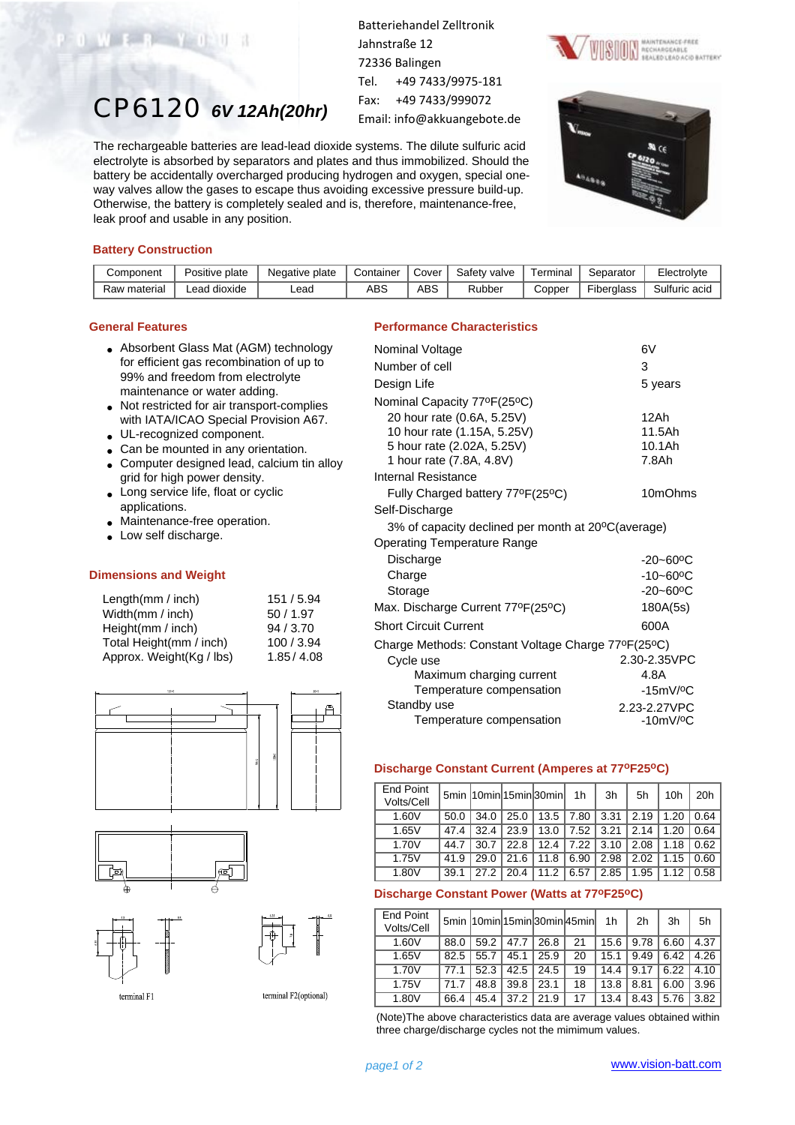# CP6120 *6V 12Ah(20hr)*

Batteriehandel Zelltronik Jahnstraße 12 72336 Balingen Tel. +49 7433/9975-181 Fax: +49 7433/999072 Email: info@akkuangebote.de

The rechargeable batteries are lead-lead dioxide systems. The dilute sulfuric acid electrolyte is absorbed by separators and plates and thus immobilized. Should the battery be accidentally overcharged producing hydrogen and oxygen, special oneway valves allow the gases to escape thus avoiding excessive pressure build-up. Otherwise, the battery is completely sealed and is, therefore, maintenance-free, leak proof and usable in any position.





#### **Battery Construction**

WERY OU

| Component    | Positive plate | Negative plate | Container | ∵overٽ     | Safety valve | Terminal | Separator         | Electrol∨te   |
|--------------|----------------|----------------|-----------|------------|--------------|----------|-------------------|---------------|
| Raw material | ∟ead dioxide   | _ead           | ABS       | <b>ABS</b> | Rubber       | Copper   | <b>Fiberalass</b> | Sulfuric acid |

#### **General Features**

- Absorbent Glass Mat (AGM) technology for efficient gas recombination of up to 99% and freedom from electrolyte maintenance or water adding.
- Not restricted for air transport-complies with IATA/ICAO Special Provision A67.
- UL-recognized component.
- Can be mounted in any orientation.
- Computer designed lead, calcium tin alloy grid for high power density.
- Long service life, float or cyclic applications.
- Maintenance-free operation.
- Low self discharge.

#### **Dimensions and Weight**

| Length $(mm / inch)$     | 151 / 5.94 |
|--------------------------|------------|
| Width(mm / inch)         | 50/1.97    |
| Height(mm / inch)        | 94/3.70    |
| Total Height(mm / inch)  | 100/3.94   |
| Approx. Weight(Kg / lbs) | 1.85/4.08  |







terminal F1

terminal F2(optional)

#### **Performance Characteristics**

| Nominal Voltage                                    | 6V                        |
|----------------------------------------------------|---------------------------|
| Number of cell                                     | 3                         |
| Design Life                                        | 5 years                   |
| Nominal Capacity 77ºF(25ºC)                        |                           |
| 20 hour rate (0.6A, 5.25V)                         | 12Ah                      |
| 10 hour rate (1.15A, 5.25V)                        | 11.5Ah                    |
| 5 hour rate (2.02A, 5.25V)                         | 10.1Ah                    |
| 1 hour rate (7.8A, 4.8V)                           | 7.8Ah                     |
| Internal Resistance                                |                           |
| Fully Charged battery 77ºF(25°C)                   | 10mOhms                   |
| Self-Discharge                                     |                           |
| 3% of capacity declined per month at 20°C(average) |                           |
| <b>Operating Temperature Range</b>                 |                           |
| Discharge                                          | $-20 - 60$ <sup>o</sup> C |
| Charge                                             | $-10 - 60$ <sup>o</sup> C |
| Storage                                            | $-20 - 60$ <sup>o</sup> C |
| Max. Discharge Current 77°F(25°C)                  | 180A(5s)                  |
| <b>Short Circuit Current</b>                       | 600A                      |
| Charge Methods: Constant Voltage Charge 77ºF(25ºC) |                           |
| Cycle use                                          | 2.30-2.35VPC              |
| Maximum charging current                           | 4.8A                      |
| Temperature compensation                           | $-15mV$ / $°C$            |
| Standby use                                        | 2.23-2.27VPC              |
| Temperature compensation                           | $-10mV$ / $\rm ^{o}C$     |

#### **Discharge Constant Current (Amperes at 77oF25oC)**

| <b>End Point</b><br>Volts/Cell |      |      |      | 5min 10min15minl30minl | 1h   | 3h   | 5h   | 10h  | 20h  |
|--------------------------------|------|------|------|------------------------|------|------|------|------|------|
| 1.60V                          | 50.0 | 34.0 | 25.0 | 13.5                   | 7.80 | 3.31 | 2.19 | 1.20 | 0.64 |
| 1.65V                          | 47.4 | 32.4 | 23.9 | 13.0                   | 7.52 | 3.21 | 2.14 | 1.20 | 0.64 |
| 1.70V                          | 44.7 | 30.7 | 22.8 | 12.4                   | 7.22 | 3.10 | 2.08 | 1.18 | 0.62 |
| 1.75V                          | 41.9 | 29.0 | 21.6 | 11.8                   | 6.90 | 2.98 | 2.02 | 1.15 | 0.60 |
| 1.80V                          | 39.1 | 27.2 | 20.4 | 11.2                   | 6.57 | 2.85 | 1.95 | 1.12 | 0.58 |

### **Discharge Constant Power (Watts at 77oF25oC)**

| <b>End Point</b><br>Volts/Cell |      |      |      |      | 5min 10min 15min 30min 45min | 1h   | 2 <sub>h</sub> | 3h   | 5h   |
|--------------------------------|------|------|------|------|------------------------------|------|----------------|------|------|
| 1.60V                          | 88.0 | 59.2 | 47.7 | 26.8 | 21                           | 15.6 | 9.78           | 6.60 | 4.37 |
| 1.65V                          | 82.5 | 55.7 | 45.1 | 25.9 | 20                           | 15.1 | 9.49           | 6.42 | 4.26 |
| 1.70V                          | 77.1 | 52.3 | 42.5 | 24.5 | 19                           | 14.4 | 9.17           | 6.22 | 4.10 |
| 1.75V                          | 71.7 | 48.8 | 39.8 | 23.1 | 18                           | 13.8 | 8.81           | 6.00 | 3.96 |
| 1.80V                          | 66.4 | 45.4 | 37.2 | 21.9 | 17                           | 13.4 | 8.43           | 5.76 | 3.82 |

(Note)The above characteristics data are average values obtained within three charge/discharge cycles not the mimimum values.